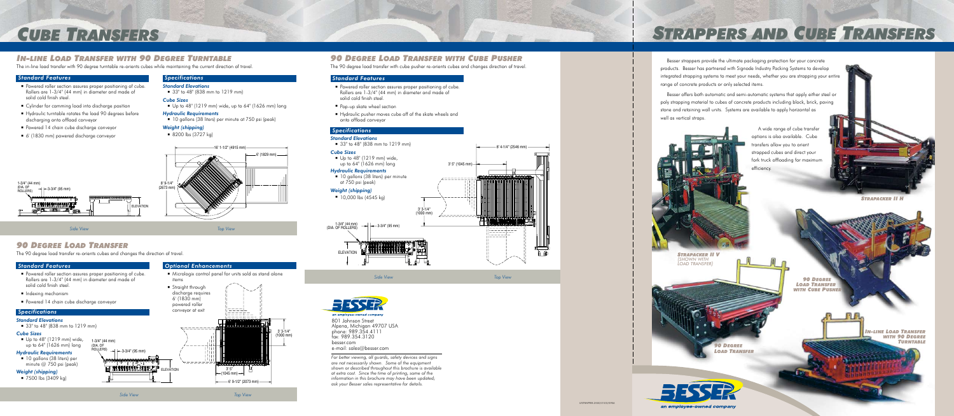

- Micrologix control panel for units sold as stand alone items
- **Straight through**  discharge requires 6' (1830 mm) powered roller conveyor at exit **ANNINININIS** <u>vaaaaaaa</u> 3' 3-1/4" (1000 mm)  $\rightarrow$   $\leftarrow$  3-3/4" (95 mm) **ELEVATION ELEVATION**<br>ELEVATION ELEVATION 3' 5" (1045 mm)  $-6'$  9-1/2" (2073 mm)  $-$

#### *Optional Enhancements*

*IIISTRAPPER-2500/0103/0906*

# *Strappers and Cube Transfers*



fax: 989.354.3120 besser.com e-mail: sales@besser.com

Besser strappers provide the ultimate packaging protection for your concrete products. Besser has partnered with Signode Industry Packing Systems to develop integrated strapping systems to meet your needs, whether you are strapping your entire range of concrete products or only selected items.

- **Powered roller section assures proper positioning of cube.**  Rollers are 1-3/4" (44 mm) in diameter and made of solid cold finish steel.
- Pop-up skate wheel section
- Hydraulic pusher moves cube off of the skate wheels and onto offload conveyor

 $\blacksquare$  Up to 48" (1219 mm) wide, up to 64" (1626 mm) long

Besser offers both automatic and semi-automatic systems that apply either steel or poly strapping material to cubes of concrete products including block, brick, paving stone and retaining wall units. Systems are available to apply horizontal as well as vertical straps.

■ 10 gallons (38 liters) per minute at 750 psi (peak)

*For better viewing, all guards, safety devices and signs are not necessarily shown. Some of the equipment shown or described throughout this brochure is available at extra cost. Since the time of printing, some of the information in this brochure may have been updated; ask your Besser sales representative for details.*

## *90 Degree Load Transfer with Cube Pusher*

#### *Standard Features*



#### *Specifications*

#### *Standard Elevations*

■ 33" to 48" (838 mm to 1219 mm)

#### *Cube Sizes*

#### *Hydraulic Requirements*

#### *Weight (shipping)*

 $10,000$  lbs (4545 kg)

## *In-line Load Transfer with 90 Degree Turntable*

# *Cube Transfers*

## *90 Degree Load Transfer*

#### *Standard Features*

- **Powered roller section assures proper positioning of cube.**  Rollers are 1-3/4" (44 mm) in diameter and made of solid cold finish steel.
- Cylinder for camming load into discharge position
- Hydraulic turntable rotates the load 90 degrees before discharging onto offload conveyor
- **Powered 14 chain cube discharge conveyor**
- 6' (1830 mm) powered discharge conveyor

The in-line load transfer with 90 degree turntable re-orients cubes while maintaining the current direction of travel.

#### *Standard Features*

- **Powered roller section assures proper positioning of cube.**  Rollers are 1-3/4" (44 mm) in diameter and made of solid cold finish steel.
- Indexing mechanism
- **Powered 14 chain cube discharge conveyor**

#### *Specifications*

#### *Standard Elevations*

■ 33" to 48" (838 mm to 1219 mm)

#### *Cube Sizes*



#### *Hydraulic Requirements*

■ 10 gallons (38 liters) per minute @ 750 psi (peak)

#### *Weight (shipping)*

■ 7500 lbs (3409 kg)

The 90 degree load transfer re-orients cubes and changes the direction of travel.

The 90 degree load transfer with cube pusher re-orients cubes and changes direction of travel.





*Side View Top View*

1-3/4" (44 mm)<br>(DIA. OF ROLLERS)

*Side View Top View*

### *Specifications*

#### *Standard Elevations*

 $\blacksquare$  33" to 48" (838 mm to 1219 mm)

#### *Cube Sizes*

■ Up to  $48^{\circ}$  (1219 mm) wide, up to  $64^{\circ}$  (1626 mm) long

#### *Hydraulic Requirements*

■ 10 gallons (38 liters) per minute at 750 psi (peak)

#### *Weight (shipping)*

 $\blacksquare$  8200 lbs (3727 kg)